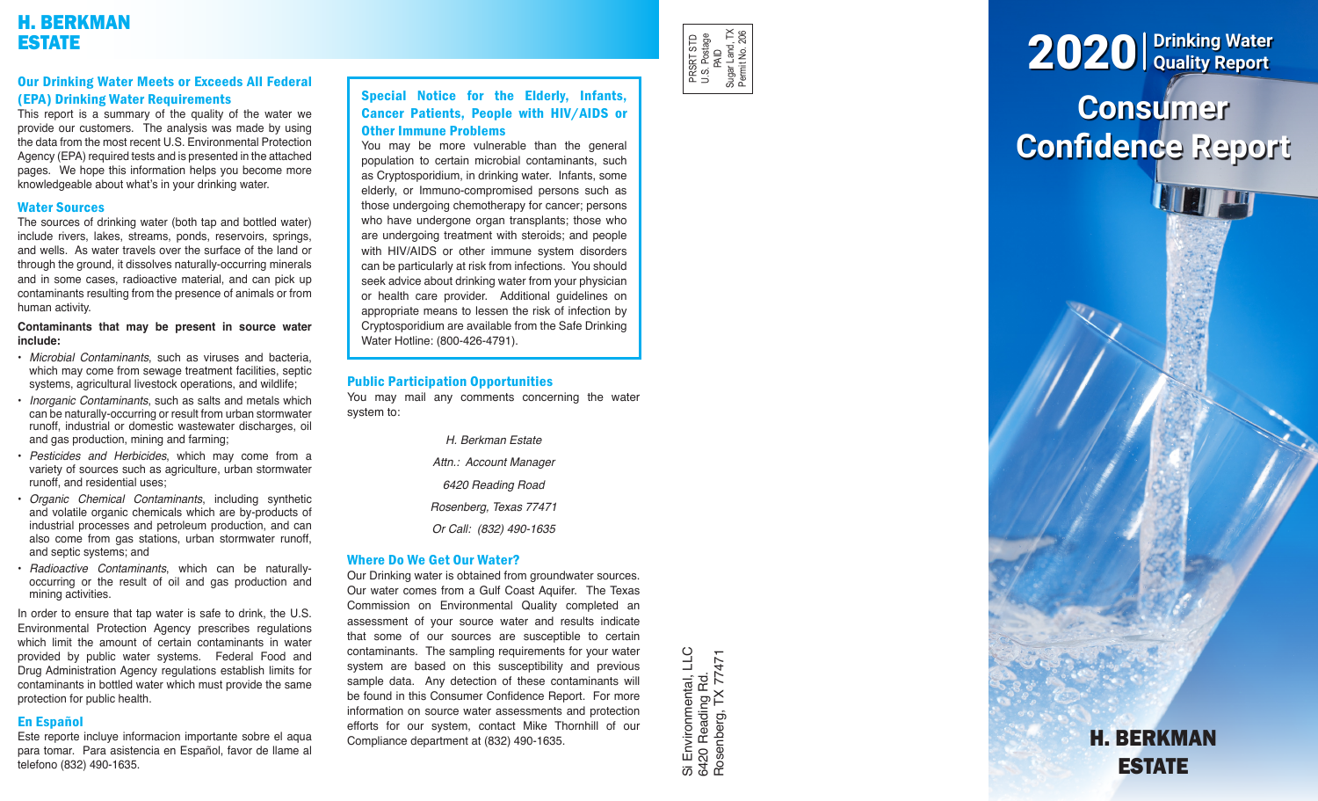# H. BERKMAN ESTATE

# Our Drinking Water Meets or Exceeds All Federal (EPA) Drinking Water Requirements

This report is a summary of the quality of the water we provide our customers. The analysis was made by using the data from the most recent U.S. Environmental Protection Agency (EPA) required tests and is presented in the attached pages. We hope this information helps you become more knowledgeable about what's in your drinking water.

# Water Sources

The sources of drinking water (both tap and bottled water) include rivers, lakes, streams, ponds, reservoirs, springs, and wells. As water travels over the surface of the land or through the ground, it dissolves naturally-occurring minerals and in some cases, radioactive material, and can pick up contaminants resulting from the presence of animals or from human activity.

### **Contaminants that may be present in source water include:**

- *Microbial Contaminants*, such as viruses and bacteria, which may come from sewage treatment facilities, septic systems, agricultural livestock operations, and wildlife;
- *Inorganic Contaminants*, such as salts and metals which can be naturally-occurring or result from urban stormwater runoff, industrial or domestic wastewater discharges, oil and gas production, mining and farming;
- *Pesticides and Herbicides*, which may come from a variety of sources such as agriculture, urban stormwater runoff, and residential uses;
- *Organic Chemical Contaminants*, including synthetic and volatile organic chemicals which are by-products of industrial processes and petroleum production, and can also come from gas stations, urban stormwater runoff, and septic systems; and
- *Radioactive Contaminants*, which can be naturallyoccurring or the result of oil and gas production and mining activities.

In order to ensure that tap water is safe to drink, the U.S. Environmental Protection Agency prescribes regulations which limit the amount of certain contaminants in water provided by public water systems. Federal Food and Drug Administration Agency regulations establish limits for contaminants in bottled water which must provide the same protection for public health.

# En Español

Este reporte incluye informacion importante sobre el aqua para tomar. Para asistencia en Español, favor de llame al telefono (832) 490-1635.

# Special Notice for the Elderly, Infants, Cancer Patients, People with HIV/AIDS or Other Immune Problems

You may be more vulnerable than the general population to certain microbial contaminants, such as Cryptosporidium, in drinking water. Infants, some elderly, or Immuno-compromised persons such as those undergoing chemotherapy for cancer; persons who have undergone organ transplants; those who are undergoing treatment with steroids; and people with HIV/AIDS or other immune system disorders can be particularly at risk from infections. You should seek advice about drinking water from your physician or health care provider. Additional guidelines on appropriate means to lessen the risk of infection by Cryptosporidium are available from the Safe Drinking Water Hotline: (800-426-4791).

# Public Participation Opportunities

You may mail any comments concerning the water system to:

- *H. Berkman Estate Attn.: Account Manager 6420 Reading Road*
- *Rosenberg, Texas 77471*
- *Or Call: (832) 490-1635*

# Where Do We Get Our Water?

Our Drinking water is obtained from groundwater sources. Our water comes from a Gulf Coast Aquifer. The Texas Commission on Environmental Quality completed an assessment of your source water and results indicate that some of our sources are susceptible to certain contaminants. The sampling requirements for your water system are based on this susceptibility and previous sample data. Any detection of these contaminants will be found in this Consumer Confidence Report. For more information on source water assessments and protection efforts for our system, contact Mike Thornhill of our Compliance department at (832) 490-1635.

Si Environmental, LLC<br>6420 Reading Rd.<br>Rosenberg, TX 77471 Si Environmental, LLC Rosenberg, TX 774716420 Reading Rd.

PRSRT STD U.S. Postage PRSRT STD<br>U.S. Postage<br>PalD<br>Sugar Land, TX<br>Permit No. 206 Sugar Land, TX Permit No. 206



# H. BERKMAN ESTATE